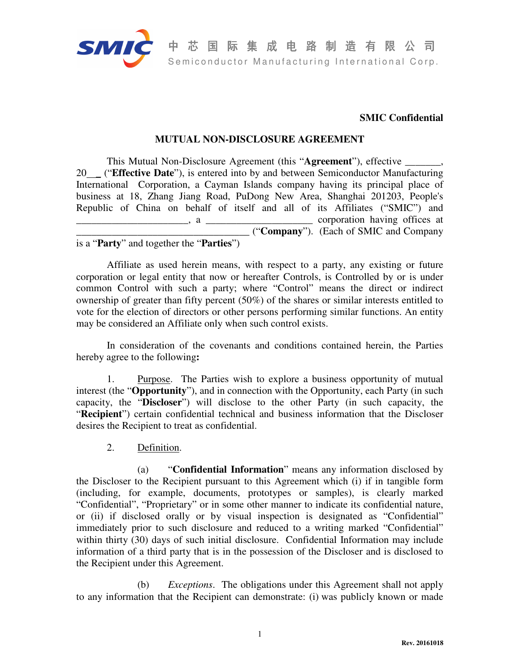

## **SMIC Confidential**

## **MUTUAL NON-DISCLOSURE AGREEMENT**

This Mutual Non-Disclosure Agreement (this "**Agreement**"), effective \_\_\_\_\_\_\_, 20 \_ ("**Effective Date**"), is entered into by and between Semiconductor Manufacturing International Corporation, a Cayman Islands company having its principal place of business at 18, Zhang Jiang Road, PuDong New Area, Shanghai 201203, People's Republic of China on behalf of itself and all of its Affiliates ("SMIC") and  $\frac{1}{2}$ , a  $\frac{1}{2}$   $\frac{1}{2}$   $\frac{1}{2}$   $\frac{1}{2}$   $\frac{1}{2}$   $\frac{1}{2}$   $\frac{1}{2}$   $\frac{1}{2}$   $\frac{1}{2}$   $\frac{1}{2}$   $\frac{1}{2}$   $\frac{1}{2}$   $\frac{1}{2}$   $\frac{1}{2}$   $\frac{1}{2}$   $\frac{1}{2}$   $\frac{1}{2}$   $\frac{1}{2}$   $\frac{1}{2}$   $\frac{1}{2}$   $\frac{1}{2}$ \_\_\_\_\_\_\_\_\_\_\_\_\_\_\_\_\_\_\_\_\_\_\_\_\_\_\_\_\_\_\_\_\_\_ ("**Company**"). (Each of SMIC and Company is a "**Party**" and together the "**Parties**")

Affiliate as used herein means, with respect to a party, any existing or future corporation or legal entity that now or hereafter Controls, is Controlled by or is under common Control with such a party; where "Control" means the direct or indirect ownership of greater than fifty percent (50%) of the shares or similar interests entitled to vote for the election of directors or other persons performing similar functions. An entity may be considered an Affiliate only when such control exists.

In consideration of the covenants and conditions contained herein, the Parties hereby agree to the following**:** 

1. Purpose. The Parties wish to explore a business opportunity of mutual interest (the "**Opportunity**"), and in connection with the Opportunity, each Party (in such capacity, the "**Discloser**") will disclose to the other Party (in such capacity, the "**Recipient**") certain confidential technical and business information that the Discloser desires the Recipient to treat as confidential.

2. Definition.

(a) "**Confidential Information**" means any information disclosed by the Discloser to the Recipient pursuant to this Agreement which (i) if in tangible form (including, for example, documents, prototypes or samples), is clearly marked "Confidential", "Proprietary" or in some other manner to indicate its confidential nature, or (ii) if disclosed orally or by visual inspection is designated as "Confidential" immediately prior to such disclosure and reduced to a writing marked "Confidential" within thirty (30) days of such initial disclosure. Confidential Information may include information of a third party that is in the possession of the Discloser and is disclosed to the Recipient under this Agreement.

(b) *Exceptions*. The obligations under this Agreement shall not apply to any information that the Recipient can demonstrate: (i) was publicly known or made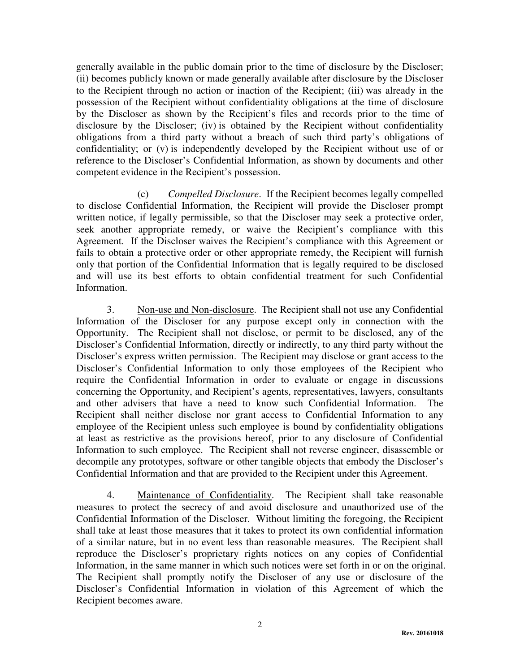generally available in the public domain prior to the time of disclosure by the Discloser; (ii) becomes publicly known or made generally available after disclosure by the Discloser to the Recipient through no action or inaction of the Recipient; (iii) was already in the possession of the Recipient without confidentiality obligations at the time of disclosure by the Discloser as shown by the Recipient's files and records prior to the time of disclosure by the Discloser; (iv) is obtained by the Recipient without confidentiality obligations from a third party without a breach of such third party's obligations of confidentiality; or (v) is independently developed by the Recipient without use of or reference to the Discloser's Confidential Information, as shown by documents and other competent evidence in the Recipient's possession.

(c) *Compelled Disclosure*. If the Recipient becomes legally compelled to disclose Confidential Information, the Recipient will provide the Discloser prompt written notice, if legally permissible, so that the Discloser may seek a protective order, seek another appropriate remedy, or waive the Recipient's compliance with this Agreement. If the Discloser waives the Recipient's compliance with this Agreement or fails to obtain a protective order or other appropriate remedy, the Recipient will furnish only that portion of the Confidential Information that is legally required to be disclosed and will use its best efforts to obtain confidential treatment for such Confidential Information.

3. Non-use and Non-disclosure. The Recipient shall not use any Confidential Information of the Discloser for any purpose except only in connection with the Opportunity. The Recipient shall not disclose, or permit to be disclosed, any of the Discloser's Confidential Information, directly or indirectly, to any third party without the Discloser's express written permission. The Recipient may disclose or grant access to the Discloser's Confidential Information to only those employees of the Recipient who require the Confidential Information in order to evaluate or engage in discussions concerning the Opportunity, and Recipient's agents, representatives, lawyers, consultants and other advisers that have a need to know such Confidential Information. The Recipient shall neither disclose nor grant access to Confidential Information to any employee of the Recipient unless such employee is bound by confidentiality obligations at least as restrictive as the provisions hereof, prior to any disclosure of Confidential Information to such employee. The Recipient shall not reverse engineer, disassemble or decompile any prototypes, software or other tangible objects that embody the Discloser's Confidential Information and that are provided to the Recipient under this Agreement.

4. Maintenance of Confidentiality. The Recipient shall take reasonable measures to protect the secrecy of and avoid disclosure and unauthorized use of the Confidential Information of the Discloser. Without limiting the foregoing, the Recipient shall take at least those measures that it takes to protect its own confidential information of a similar nature, but in no event less than reasonable measures. The Recipient shall reproduce the Discloser's proprietary rights notices on any copies of Confidential Information, in the same manner in which such notices were set forth in or on the original. The Recipient shall promptly notify the Discloser of any use or disclosure of the Discloser's Confidential Information in violation of this Agreement of which the Recipient becomes aware.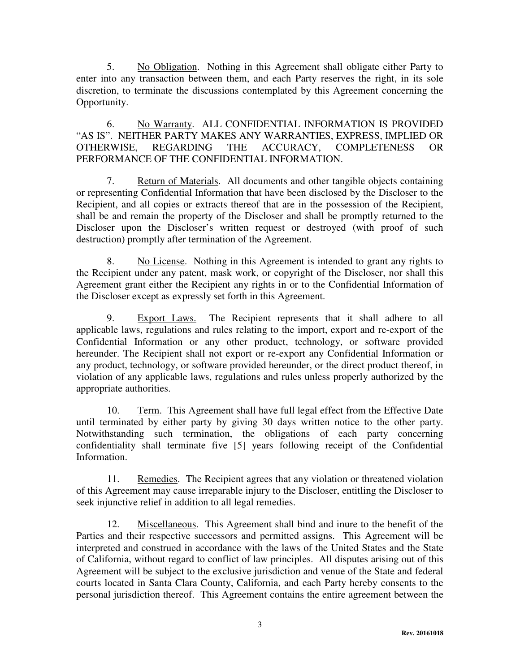5. No Obligation. Nothing in this Agreement shall obligate either Party to enter into any transaction between them, and each Party reserves the right, in its sole discretion, to terminate the discussions contemplated by this Agreement concerning the Opportunity.

6. No Warranty. ALL CONFIDENTIAL INFORMATION IS PROVIDED "AS IS". NEITHER PARTY MAKES ANY WARRANTIES, EXPRESS, IMPLIED OR OTHERWISE, REGARDING THE ACCURACY, COMPLETENESS OR PERFORMANCE OF THE CONFIDENTIAL INFORMATION.

7. Return of Materials. All documents and other tangible objects containing or representing Confidential Information that have been disclosed by the Discloser to the Recipient, and all copies or extracts thereof that are in the possession of the Recipient, shall be and remain the property of the Discloser and shall be promptly returned to the Discloser upon the Discloser's written request or destroyed (with proof of such destruction) promptly after termination of the Agreement.

8. No License. Nothing in this Agreement is intended to grant any rights to the Recipient under any patent, mask work, or copyright of the Discloser, nor shall this Agreement grant either the Recipient any rights in or to the Confidential Information of the Discloser except as expressly set forth in this Agreement.

9. Export Laws. The Recipient represents that it shall adhere to all applicable laws, regulations and rules relating to the import, export and re-export of the Confidential Information or any other product, technology, or software provided hereunder. The Recipient shall not export or re-export any Confidential Information or any product, technology, or software provided hereunder, or the direct product thereof, in violation of any applicable laws, regulations and rules unless properly authorized by the appropriate authorities.

10. Term. This Agreement shall have full legal effect from the Effective Date until terminated by either party by giving 30 days written notice to the other party. Notwithstanding such termination, the obligations of each party concerning confidentiality shall terminate five [5] years following receipt of the Confidential Information.

11. Remedies. The Recipient agrees that any violation or threatened violation of this Agreement may cause irreparable injury to the Discloser, entitling the Discloser to seek injunctive relief in addition to all legal remedies.

12. Miscellaneous. This Agreement shall bind and inure to the benefit of the Parties and their respective successors and permitted assigns. This Agreement will be interpreted and construed in accordance with the laws of the United States and the State of California, without regard to conflict of law principles. All disputes arising out of this Agreement will be subject to the exclusive jurisdiction and venue of the State and federal courts located in Santa Clara County, California, and each Party hereby consents to the personal jurisdiction thereof. This Agreement contains the entire agreement between the